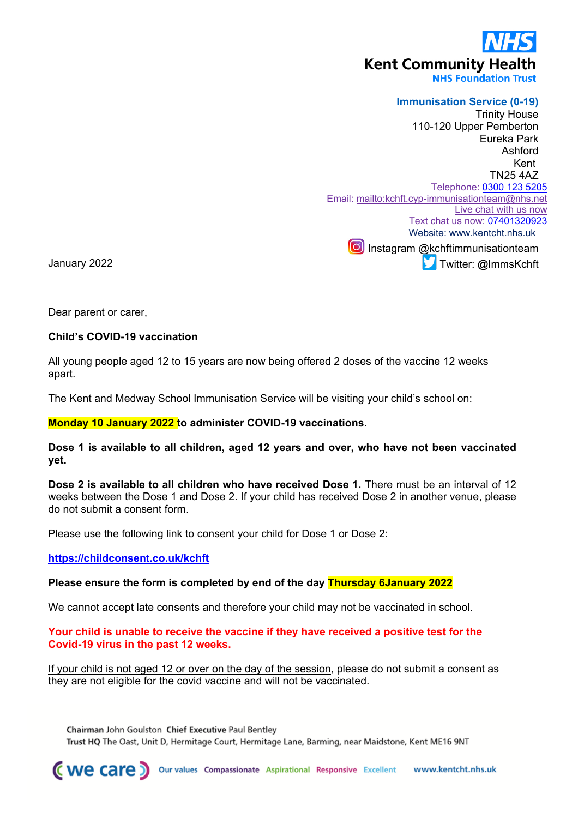# **Kent Community Health**

**NHS Foundation Trust** 

## **Immunisation Service (0-19)**

Trinity House 110-120 Upper Pemberton Eureka Park Ashford Kent TN25 4AZ Telephone: [0300 123 5205](tel:0300%20123%205205) Email: <mailto:kchft.cyp-immunisationteam@nhs.net> [Live chat with us now](https://www.kentcht.nhs.uk/service/immunisation-team/immunisations-live-chat/) Text chat us now: [07401320923](tel:07401320923) Website: [www.kentcht.nhs.uk](http://www.kentcht.nhs.uk/) Instagram @kchftimmunisationteam Twitter: **@**ImmsKchft

January 2022

Dear parent or carer,

#### **Child's COVID-19 vaccination**

All young people aged 12 to 15 years are now being offered 2 doses of the vaccine 12 weeks apart.

The Kent and Medway School Immunisation Service will be visiting your child's school on:

#### **Monday 10 January 2022 to administer COVID-19 vaccinations.**

**Dose 1 is available to all children, aged 12 years and over, who have not been vaccinated yet.**

**Dose 2 is available to all children who have received Dose 1.** There must be an interval of 12 weeks between the Dose 1 and Dose 2. If your child has received Dose 2 in another venue, please do not submit a consent form.

Please use the following link to consent your child for Dose 1 or Dose 2:

**<https://childconsent.co.uk/kchft>**

#### **Please ensure the form is completed by end of the day Thursday 6January 2022**

We cannot accept late consents and therefore your child may not be vaccinated in school.

#### **Your child is unable to receive the vaccine if they have received a positive test for the Covid-19 virus in the past 12 weeks.**

If your child is not aged 12 or over on the day of the session, please do not submit a consent as they are not eligible for the covid vaccine and will not be vaccinated.

Chairman John Goulston Chief Executive Paul Bentley Trust HO The Oast, Unit D, Hermitage Court, Hermitage Lane, Barming, near Maidstone, Kent ME16 9NT

**(We care** ) Our values Compassionate Aspirational Responsive Excellent www.kentcht.nhs.uk